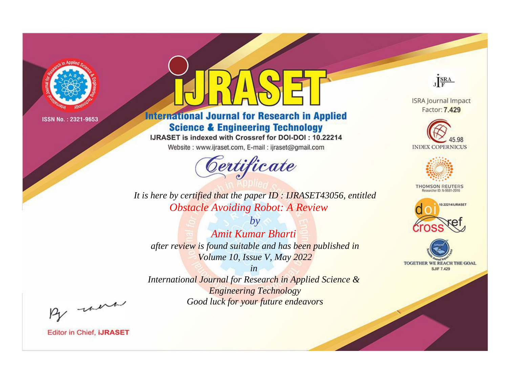

# **International Journal for Research in Applied Science & Engineering Technology**

IJRASET is indexed with Crossref for DOI-DOI: 10.22214

Website: www.ijraset.com, E-mail: ijraset@gmail.com



JERA

**ISRA Journal Impact** Factor: 7.429





**THOMSON REUTERS** 



TOGETHER WE REACH THE GOAL **SJIF 7.429** 

It is here by certified that the paper ID: IJRASET43056, entitled **Obstacle Avoiding Robot: A Review** 

**Amit Kumar Bharti** after review is found suitable and has been published in Volume 10, Issue V, May 2022

 $b\nu$ 

 $in$ International Journal for Research in Applied Science & **Engineering Technology** Good luck for your future endeavors

By morn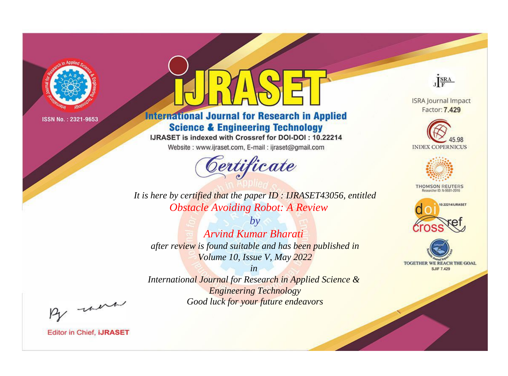

# **International Journal for Research in Applied Science & Engineering Technology**

IJRASET is indexed with Crossref for DOI-DOI: 10.22214

Website: www.ijraset.com, E-mail: ijraset@gmail.com



JERA

**ISRA Journal Impact** Factor: 7.429





**THOMSON REUTERS** 



TOGETHER WE REACH THE GOAL **SJIF 7.429** 

It is here by certified that the paper ID: IJRASET43056, entitled **Obstacle Avoiding Robot: A Review** 

 $b\nu$ **Arvind Kumar Bharati** after review is found suitable and has been published in Volume 10, Issue V, May 2022

 $in$ International Journal for Research in Applied Science & **Engineering Technology** Good luck for your future endeavors

By morn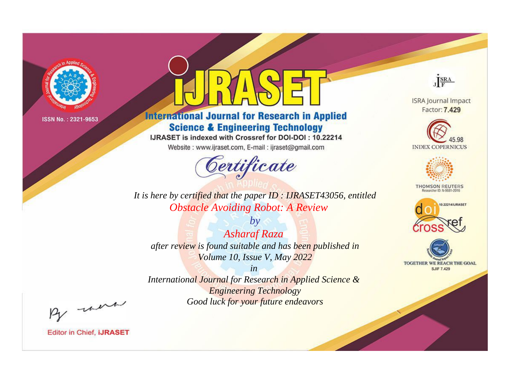

# **International Journal for Research in Applied Science & Engineering Technology**

IJRASET is indexed with Crossref for DOI-DOI: 10.22214

Website: www.ijraset.com, E-mail: ijraset@gmail.com



JERA

**ISRA Journal Impact** Factor: 7.429





**THOMSON REUTERS** 



TOGETHER WE REACH THE GOAL **SJIF 7.429** 

*It is here by certified that the paper ID : IJRASET43056, entitled Obstacle Avoiding Robot: A Review*

*by Asharaf Raza after review is found suitable and has been published in Volume 10, Issue V, May 2022*

*in* 

*International Journal for Research in Applied Science & Engineering Technology Good luck for your future endeavors*

By morn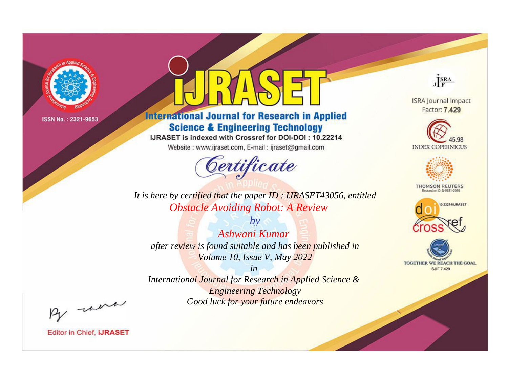

# **International Journal for Research in Applied Science & Engineering Technology**

IJRASET is indexed with Crossref for DOI-DOI: 10.22214

Website: www.ijraset.com, E-mail: ijraset@gmail.com



JERA

**ISRA Journal Impact** Factor: 7.429





**THOMSON REUTERS** 



TOGETHER WE REACH THE GOAL **SJIF 7.429** 

*It is here by certified that the paper ID : IJRASET43056, entitled Obstacle Avoiding Robot: A Review*

*by Ashwani Kumar after review is found suitable and has been published in Volume 10, Issue V, May 2022*

*in* 

*International Journal for Research in Applied Science & Engineering Technology Good luck for your future endeavors*

By morn